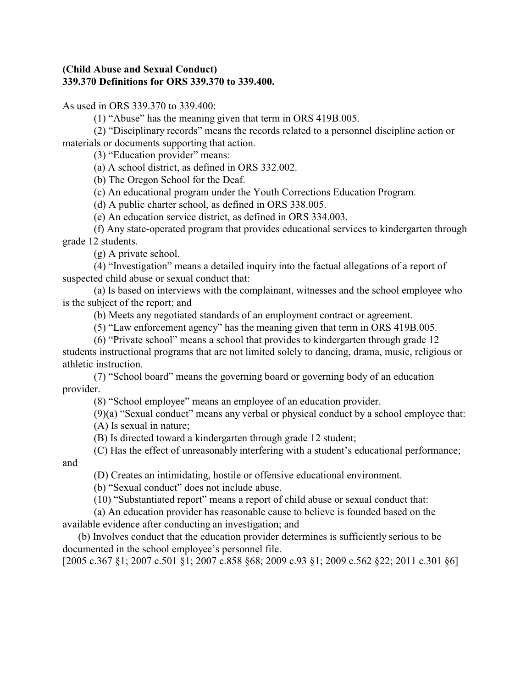## **(Child Abuse and Sexual Conduct) 339.370 Definitions for ORS 339.370 to 339.400.**

As used in ORS 339.370 to 339.400:

(1) "Abuse" has the meaning given that term in ORS 419B.005.

(2) "Disciplinary records" means the records related to a personnel discipline action or materials or documents supporting that action.

(3) "Education provider" means:

(a) A school district, as defined in ORS 332.002.

(b) The Oregon School for the Deaf.

(c) An educational program under the Youth Corrections Education Program.

(d) A public charter school, as defined in ORS 338.005.

(e) An education service district, as defined in ORS 334.003.

(f) Any state-operated program that provides educational services to kindergarten through grade 12 students.

(g) A private school.

(4) "Investigation" means a detailed inquiry into the factual allegations of a report of suspected child abuse or sexual conduct that:

(a) Is based on interviews with the complainant, witnesses and the school employee who is the subject of the report; and

(b) Meets any negotiated standards of an employment contract or agreement.

(5) "Law enforcement agency" has the meaning given that term in ORS 419B.005.

(6) "Private school" means a school that provides to kindergarten through grade 12

students instructional programs that are not limited solely to dancing, drama, music, religious or athletic instruction.

(7) "School board" means the governing board or governing body of an education provider.

(8) "School employee" means an employee of an education provider.

(9)(a) "Sexual conduct" means any verbal or physical conduct by a school employee that:

(A) Is sexual in nature;

(B) Is directed toward a kindergarten through grade 12 student;

(C) Has the effect of unreasonably interfering with a student's educational performance;

and

(D) Creates an intimidating, hostile or offensive educational environment.

(b) "Sexual conduct" does not include abuse.

(10) "Substantiated report" means a report of child abuse or sexual conduct that:

(a) An education provider has reasonable cause to believe is founded based on the available evidence after conducting an investigation; and

 (b) Involves conduct that the education provider determines is sufficiently serious to be documented in the school employee's personnel file.

[2005 c.367 §1; 2007 c.501 §1; 2007 c.858 §68; 2009 c.93 §1; 2009 c.562 §22; 2011 c.301 §6]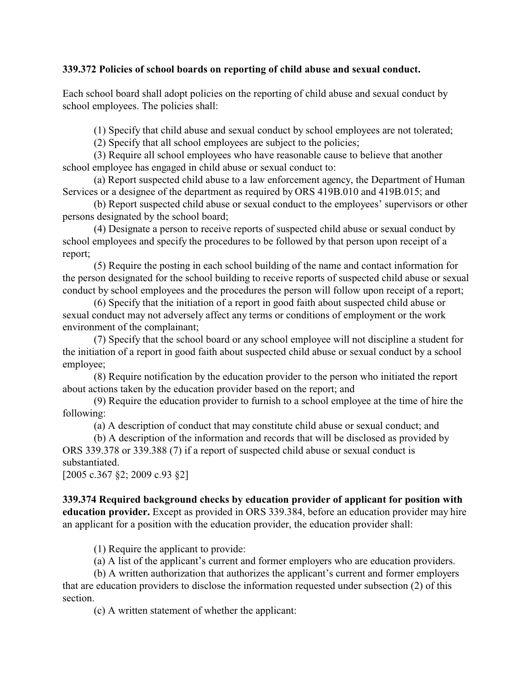## **339.372 Policies of school boards on reporting of child abuse and sexual conduct.**

Each school board shall adopt policies on the reporting of child abuse and sexual conduct by school employees. The policies shall:

(1) Specify that child abuse and sexual conduct by school employees are not tolerated;

(2) Specify that all school employees are subject to the policies;

(3) Require all school employees who have reasonable cause to believe that another school employee has engaged in child abuse or sexual conduct to:

(a) Report suspected child abuse to a law enforcement agency, the Department of Human Services or a designee of the department as required by ORS 419B.010 and 419B.015; and

(b) Report suspected child abuse or sexual conduct to the employees' supervisors or other persons designated by the school board;

(4) Designate a person to receive reports of suspected child abuse or sexual conduct by school employees and specify the procedures to be followed by that person upon receipt of a report;

(5) Require the posting in each school building of the name and contact information for the person designated for the school building to receive reports of suspected child abuse or sexual conduct by school employees and the procedures the person will follow upon receipt of a report;

(6) Specify that the initiation of a report in good faith about suspected child abuse or sexual conduct may not adversely affect any terms or conditions of employment or the work environment of the complainant;

(7) Specify that the school board or any school employee will not discipline a student for the initiation of a report in good faith about suspected child abuse or sexual conduct by a school employee;

(8) Require notification by the education provider to the person who initiated the report about actions taken by the education provider based on the report; and

(9) Require the education provider to furnish to a school employee at the time of hire the following:

(a) A description of conduct that may constitute child abuse or sexual conduct; and

(b) A description of the information and records that will be disclosed as provided by ORS 339.378 or 339.388 (7) if a report of suspected child abuse or sexual conduct is substantiated.

[2005 c.367 §2; 2009 c.93 §2]

**339.374 Required background checks by education provider of applicant for position with education provider.** Except as provided in ORS 339.384, before an education provider may hire an applicant for a position with the education provider, the education provider shall:

(1) Require the applicant to provide:

(a) A list of the applicant's current and former employers who are education providers.

(b) A written authorization that authorizes the applicant's current and former employers that are education providers to disclose the information requested under subsection (2) of this section.

(c) A written statement of whether the applicant: